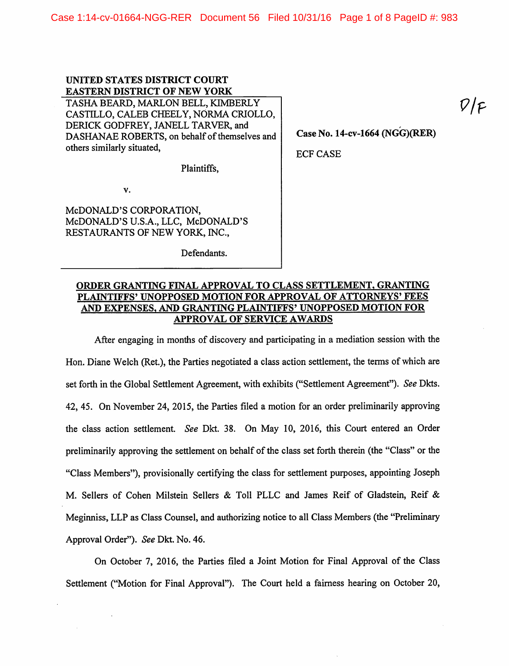# UNITED STATES DISTRICT COURT EASTERN DISTRICT OF NEW YORK TASHA BEARD, MARLON BELL, KIMBERLY

CASTILLO, CALEB CHEELY, NORMA CRIOLLO, DERICK GODFREY, JANELL TARVER, and DASHANAE ROBERTS, on behalf of themselves and others similarly situated.

Plaintiffs,

v.

MCDONALD'S CORPORATION, MCDONALD'S U.SA., LLC, McDONALD'S RESTAURANTS OF NEW YORK, INC.,

Defendants.

Case No. 14-cv-1664 (NGG)(RER)

ECF CASE

## ORDER GRANTING FINAL APPROVAL TO CLASS SETTLEMENT. GRANTING PLAINTIFFS' UNOPPOSED MOTION FOR APPROVAL OF ATTORNEYS' FEES AND EXPENSES. AND GRANTING PLAINTIFFS' UNOPPOSED MOTION FOR APPROVAL OF SERVICE AWARDS

After engaging in months of discovery and participating in a mediation session with the Hon. Diane Welch (Ret.), the Parties negotiated a class action settlement, the terms of which are set forth in the Global Settlement Agreement, with exhibits ("Settlement Agreement"). See Dkts. 42, 45. On November 24, 2015, the Parties filed a motion for an order preliminarily approving the class action settlement. See Dkt. 38. On May 10, 2016, this Court entered an Order preliminarily approving the settlement on behalf of the class set forth therein (the "Class" or the "Class Members"), provisionally certifying the class for settlement purposes, appointing Joseph M. Sellers of Cohen Milstein Sellers & Toll PLLC and James Reif of Gladstein, Reif & Meginniss, LLP as Class Counsel, and authorizing notice to all Class Members (the "Preliminary Approval Order"). See Dkt. No. 46.

On October 7, 2016, the Parties filed a Joint Motion for Final Approval of the Class Settlement ("Motion for Final Approval"). The Court held a fairness hearing on October 20,  $\mathcal{V}/\mathcal{F}$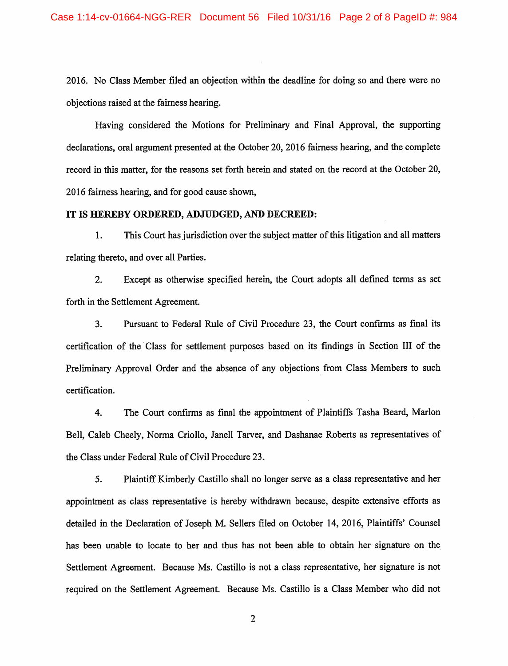2016. No Class Member filed an objection within the deadline for doing so and there were no objections raised at the fairness hearing.

Having considered the Motions for Preliminary and Final Approval, the supporting declarations, oral argument presented at the October 20, 2016 fairness hearing, and the complete record in this matter, for the reasons set forth herein and stated on the record at the October 20, 2016 faimess hearing, and for good cause shown,

#### IT IS HEREBY ORDERED, ADJUDGED, AND DECREED:

1. This Court has jurisdiction over the subject matter of this litigation and all matters relating thereto, and over all Parties.

2. Except as otherwise specified herein, the Court adopts all defined terms as set forth in the Settlement Agreement.

3. Pursuant to Federal Rule of Civil Procedure 23, the Court confirms as final its certification of the Class for settlement purposes based on its findings in Section III of the Preliminary Approval Order and the absence of any objections from Class Members to such certification.

4. The Court confirms as final the appointment of Plaintiffs Tasha Beard, Marlon Bell, Caleb Cheely, Norma Criollo, Janell Tarver, and Dashanae Roberts as representatives of the Class under Federal Rule of Civil Procedure 23.

5. Plaintiff Kimberly Castillo shall no longer serve as a class representative and her appointment as class representative is hereby withdrawn because, despite extensive efforts as detailed in the Declaration of Joseph M. Sellers filed on October 14, 2016, Plaintiffs' Counsel has been unable to locate to her and thus has not been able to obtain her signature on the Settlement Agreement. Because Ms. Castillo is not a class representative, her signature is not required on the Settlement Agreement. Because Ms. Castillo is a Class Member who did not

 $\overline{2}$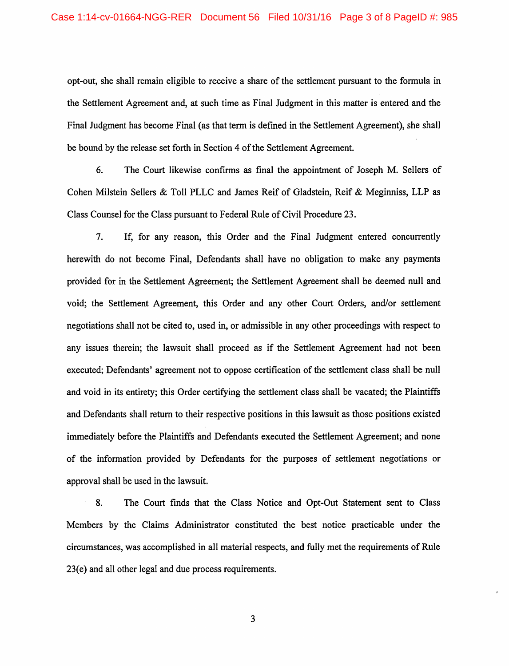opt-out, she shall remain eligible to receive a share of the settlement pursuant to the formula in the Settlement Agreement and, at such time as Final Judgment in this matter is entered and the Final Judgment has become Final (as that term is defined in the Settlement Agreement), she shall be bound by the release set forth in Section 4 of the Settlement Agreement.

6. The Court likewise confirms as final the appointment of Joseph M. Sellers of Cohen Milstein Sellers & Toll PLLC and James Reif of Gladstein, Reif & Meginniss, LLP as Class Counsel for the Class pursuant to Federal Rule of Civil Procedure 23.

7. If, for any reason, this Order and the Final Judgment entered concurrently herewith do not become Final, Defendants shall have no obligation to make any payments provided for in the Settlement Agreement; the Settlement Agreement shall be deemed null and void; the Settlement Agreement, this Order and any other Court Orders, and/or settlement negotiations shall not be cited to, used in, or admissible in any other proceedings with respect to any issues therein; the lawsuit shall proceed as if the Settlement Agreement, had not been executed; Defendants' agreement not to oppose certification of the settlement class shall be null and void in its entirety; this Order certifying the settlement class shall be vacated; the Plaintiffs and Defendants shall return to their respective positions in this lawsuit as those positions existed immediately before the Plaintiffs and Defendants executed the Settlement Agreement; and none of the information provided by Defendants for the purposes of settlement negotiations or approval shall be used in the lawsuit.

8. The Court finds that the Class Notice and Opt-Out Statement sent to Class Members by the Claims Administrator constituted the best notice practicable under the circumstances, was accomplished in all material respects, and fully met the requirements of Rule 23(e) and all other legal and due process requirements.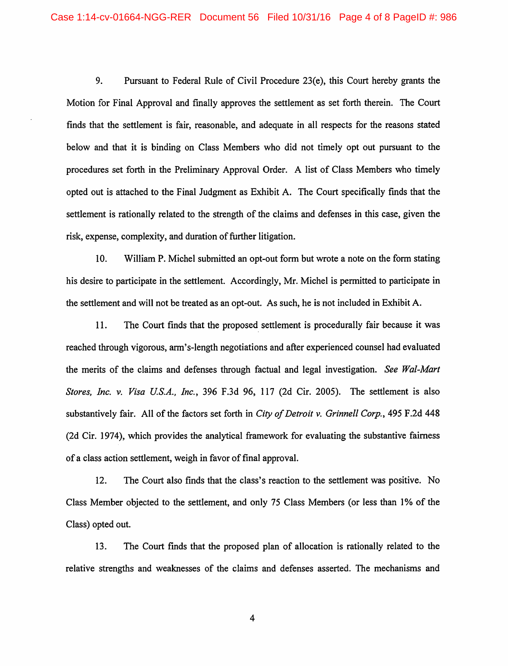9. Pursuant to Federal Rule of Civil Procedure 23(e), this Court hereby grants the Motion for Final Approval and finally approves the settlement as set forth therein. The Court finds that the settlement is fair, reasonable, and adequate in all respects for the reasons stated below and that it is binding on Class Members who did not timely opt out pursuant to the procedures set forth in the Preliminary Approval Order. A list of Class Members who timely opted out is attached to the Final Judgment as Exhibit A. The Court specifically finds that the settlement is rationally related to the strength of the claims and defenses in this case, given the risk, expense, complexity, and duration of further litigation.

10. William P. Michel submitted an opt-out form but wrote a note on the form stating his desire to participate in the settlement. Accordingly, Mr. Michel is permitted to participate in the settlement and will not be treated as an opt-out. As such, he is not included in Exhibit A.

11. The Court finds that the proposed settlement is procedurally fair because it was reached through vigorous, arm's-length negotiations and after experienced counsel had evaluated the merits of the claims and defenses through factual and legal investigation. See Wal-Mart Stores, Inc. v. Visa U.S.A., Inc., 396 F.3d 96, 117 (2d Cir. 2005). The settlement is also substantively fair. All of the factors set forth in City of Detroit v. Grinnell Corp., 495 F.2d 448 (2d Cir. 1974), which provides the analytical framework for evaluating the substantive fairness of a class action settlement, weigh in favor of final approval.

12. The Court also finds that the class's reaction to the settlement was positive. No Class Member objected to the settlement, and only 75 Class Members (or less than 1% of the Class) opted out.

13. The Court finds that the proposed plan of allocation is rationally related to the relative strengths and weaknesses of the claims and defenses asserted. The mechanisms and

 $\overline{4}$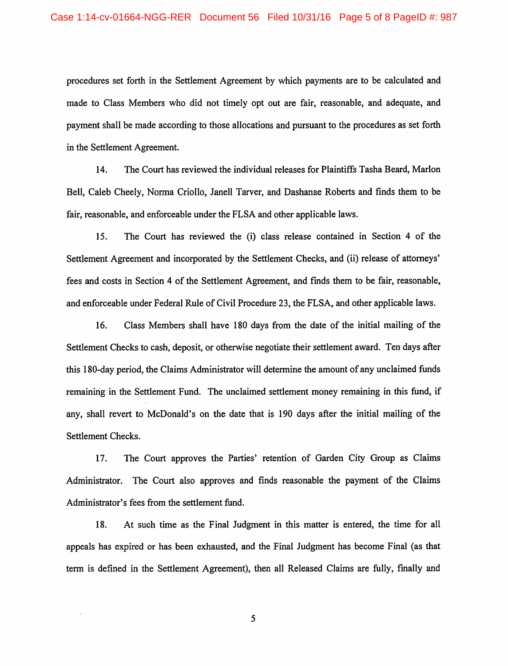procedures set forth in the Settlement Agreement by which payments are to be calculated and made to Class Members who did not timely opt out are fair, reasonable, and adequate, and payment shall be made according to those allocations and pursuant to the procedures as set forth in the Settlement Agreement.

14. The Court has reviewed the individual releases for Plaintiffs Tasha Beard, Marlon Bell, Caleb Cheely, Norma Criollo, Janell Tarver, and Dashanae Roberts and finds them to be fair, reasonable, and enforceable under the FLSA and other applicable laws.

15. The Court has reviewed the (i) class release contained in Section 4 of the Settlement Agreement and incorporated by the Settlement Checks, and (ii) release of attorneys' fees and costs in Section 4 of the Settlement Agreement, and finds them to be fair, reasonable, and enforceable under Federal Rule of Civil Procedure 23, the FLSA, and other applicable laws.

16. Class Members shall have 180 days from the date of the initial mailing of the Settlement Checks to cash, deposit, or otherwise negotiate their settlement award. Ten days after this 180-day period, the Claims Administrator will determine the amount of any unclaimed funds remaining in the Settlement Fund. The unclaimed settlement money remaining in this fimd, if any, shall revert to McDonald's on the date that is 190 days after the initial mailing of the Settlement Checks.

17. The Court approves the Parties' retention of Garden City Group as Claims Administrator. The Court also approves and finds reasonable the payment of the Claims Administrator's fees from the settlement fimd.

18. At such time as the Final Judgment in this matter is entered, the time for all appeals has expired or has been exhausted, and the Final Judgment has become Final (as that term is defined in the Settlement Agreement), then all Released Claims are fully, fmally and

5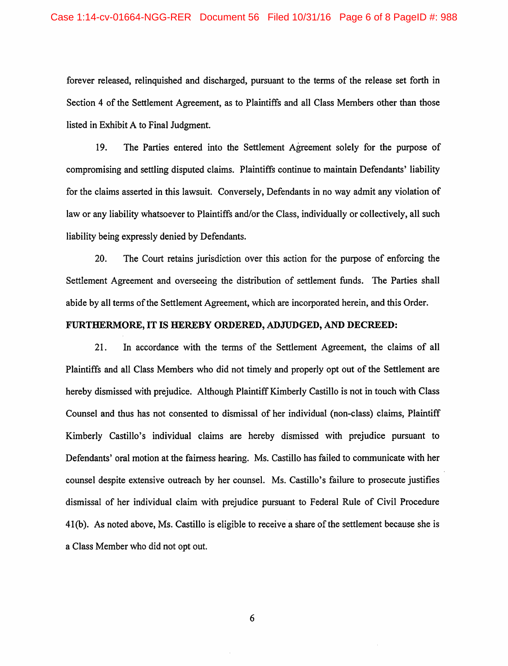forever released, relinquished and discharged, pursuant to the terms of the release set forth in Section 4 of the Settlement Agreement, as to Plaintiffs and all Class Members other than those listed in Exhibit A to Final Judgment,

19. The Parties entered into the Settlement Agreement solely for the purpose of compromising and settling disputed claims. Plaintiffs continue to maintain Defendants' liability for the claims asserted in this lawsuit. Conversely, Defendants in no way admit any violation of law or any liability whatsoever to Plaintiffs and/or the Class, individually or collectively, all such liability being expressly denied by Defendants.

20. The Court retains jurisdiction over this action for the purpose of enforcing the Settlement Agreement and overseeing the distribution of settlement funds. The Parties shall abide by all terms of the Settlement Agreement, which are incorporated herein, and this Order.

### FURTHERMORE, IT IS HEREBY ORDERED, ADJUDGED, AND DECREED:

21. In accordance with the terms of the Settlement Agreement, the claims of all Plaintiffs and all Class Members who did not timely and properly opt out of the Settlement are hereby dismissed with prejudice. Although Plaintiff Kimberly Castillo is not in touch with Class Counsel and thus has not consented to dismissal of her individual (non-class) claims, Plaintiff Kimberly Castillo's individual claims are hereby dismissed with prejudice pursuant to Defendants' oral motion at the faimess hearing. Ms. Castillo has failed to communicate with her counsel despite extensive outreach by her counsel. Ms. Castillo's failure to prosecute justifies dismissal of her individual claim with prejudice pursuant to Federal Rule of Civil Procedure 41(b). As noted above, Ms. Castillo is eligible to receive a share of the settlement because she is a Class Member who did not opt out.

6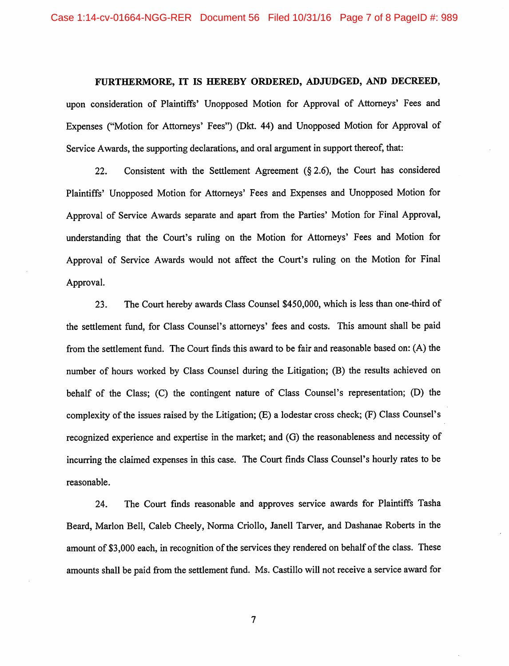#### FURTHERMORE, IT IS HEREBY ORDERED, ADJUDGED, AND DECREED,

upon consideration of Plaintiffs' Unopposed Motion for Approval of Attorneys' Fees and Expenses ("Motion for Attorneys' Fees") (Dkt, 44) and Unopposed Motion for Approval of Service Awards, the supporting declarations, and oral argument in support thereof, that:

22. Consistent with the Settlement Agreement  $(\S 2.6)$ , the Court has considered Plaintiffs' Unopposed Motion for Attorneys' Fees and Expenses and Unopposed Motion for Approval of Service Awards separate and apart from the Parties' Motion for Final Approval, understanding that the Court's ruling on the Motion for Attorneys' Fees and Motion for Approval of Service Awards would not affect the Court's ruling on the Motion for Final Approval.

23. The Court hereby awards Class Counsel \$450,000, which is less than one-third of the settlement fund, for Class Counsel's attorneys' fees and costs. This amount shall be paid from the settlement fund. The Court finds this award to be fair and reasonable based on: (A) the number of hours worked by Class Counsel during the Litigation; (B) the results achieved on behalf of the Class; (C) the contingent nature of Class Counsel's representation; (D) the complexity of the issues raised by the Litigation; (E) a lodestar cross check; (F) Class Counsel's recognized experience and expertise in the market; and (G) the reasonableness and necessity of incurring the claimed expenses in this case. The Court finds Class Counsel's hourly rates to be reasonable.

24. The Court finds reasonable and approves service awards for Plaintiffs Tasha Beard, Marlon Bell, Caleb Cheely, Norma Criollo, Janell Tarver, and Dashanae Roberts in the amount of \$3,000 each, in recognition of the services they rendered on behalf of the class. These amounts shall be paid from the settlement fund. Ms. Castillo will not receive a service award for

 $\overline{7}$